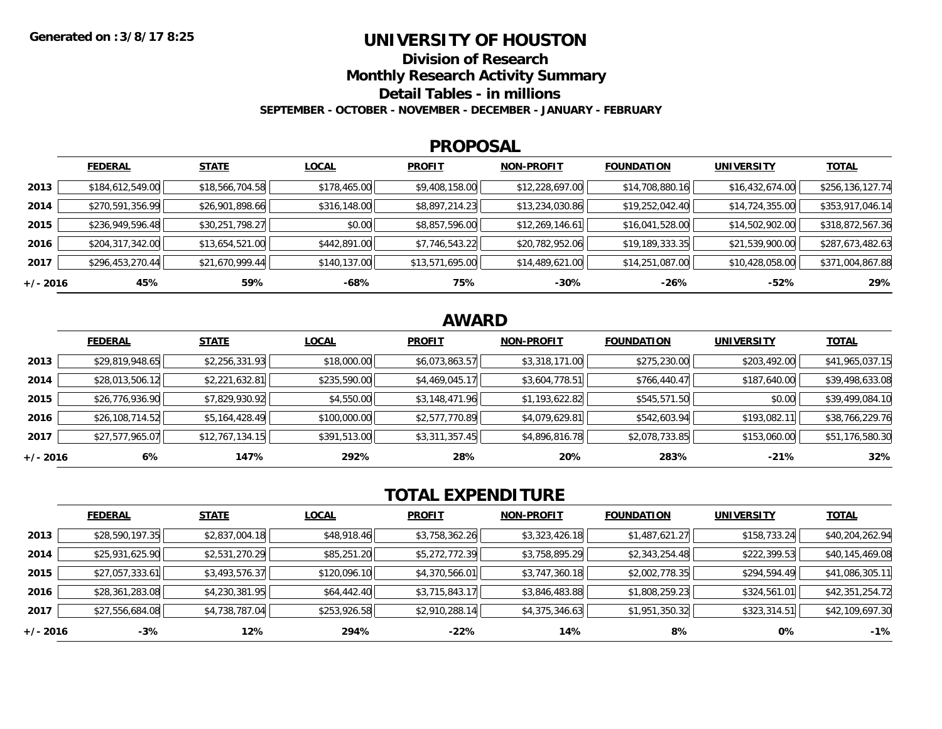### **UNIVERSITY OF HOUSTON**

**Division of Research**

**Monthly Research Activity Summary**

**Detail Tables - in millions**

**SEPTEMBER - OCTOBER - NOVEMBER - DECEMBER - JANUARY - FEBRUARY**

#### **PROPOSAL**

|            | <b>FEDERAL</b>   | <b>STATE</b>    | <b>LOCAL</b> | <b>PROFIT</b>   | <b>NON-PROFIT</b> | <b>FOUNDATION</b> | <b>UNIVERSITY</b> | <b>TOTAL</b>     |
|------------|------------------|-----------------|--------------|-----------------|-------------------|-------------------|-------------------|------------------|
| 2013       | \$184,612,549.00 | \$18,566,704.58 | \$178,465.00 | \$9,408,158.00  | \$12,228,697.00   | \$14,708,880.16   | \$16,432,674.00   | \$256,136,127.74 |
| 2014       | \$270,591,356.99 | \$26,901,898.66 | \$316,148.00 | \$8,897,214.23  | \$13,234,030.86   | \$19,252,042.40   | \$14,724,355.00   | \$353,917,046.14 |
| 2015       | \$236,949,596.48 | \$30,251,798.27 | \$0.00       | \$8,857,596.00  | \$12,269,146.61   | \$16,041,528.00   | \$14,502,902.00   | \$318,872,567.36 |
| 2016       | \$204,317,342.00 | \$13,654,521.00 | \$442,891.00 | \$7,746,543.22  | \$20,782,952.06   | \$19,189,333.35   | \$21,539,900.00   | \$287,673,482.63 |
| 2017       | \$296,453,270.44 | \$21,670,999.44 | \$140,137.00 | \$13,571,695.00 | \$14,489,621.00   | \$14,251,087.00   | \$10,428,058.00   | \$371,004,867.88 |
| $+/- 2016$ | 45%              | 59%             | -68%         | 75%             | $-30%$            | -26%              | $-52%$            | 29%              |

# **AWARD**

|          | <b>FEDERAL</b>  | <b>STATE</b>    | <b>LOCAL</b> | <b>PROFIT</b>  | <b>NON-PROFIT</b> | <b>FOUNDATION</b> | <b>UNIVERSITY</b> | <b>TOTAL</b>    |
|----------|-----------------|-----------------|--------------|----------------|-------------------|-------------------|-------------------|-----------------|
| 2013     | \$29,819,948.65 | \$2,256,331.93  | \$18,000.00  | \$6,073,863.57 | \$3,318,171.00    | \$275,230.00      | \$203,492.00      | \$41,965,037.15 |
| 2014     | \$28,013,506.12 | \$2,221,632.81  | \$235,590.00 | \$4,469,045.17 | \$3,604,778.51    | \$766,440.47      | \$187,640.00      | \$39,498,633.08 |
| 2015     | \$26,776,936.90 | \$7,829,930.92  | \$4,550.00   | \$3,148,471.96 | \$1,193,622.82    | \$545,571.50      | \$0.00            | \$39,499,084.10 |
| 2016     | \$26,108,714.52 | \$5,164,428.49  | \$100,000.00 | \$2,577,770.89 | \$4,079,629.81    | \$542,603.94      | \$193,082.11      | \$38,766,229.76 |
| 2017     | \$27,577,965.07 | \$12,767,134.15 | \$391,513.00 | \$3,311,357.45 | \$4,896,816.78    | \$2,078,733.85    | \$153,060.00      | \$51,176,580.30 |
| +/- 2016 | 6%              | 147%            | 292%         | 28%            | 20%               | 283%              | $-21%$            | 32%             |

# **TOTAL EXPENDITURE**

|          | <b>FEDERAL</b>  | <b>STATE</b>   | <b>LOCAL</b> | <b>PROFIT</b>  | <b>NON-PROFIT</b> | <b>FOUNDATION</b> | <b>UNIVERSITY</b> | <b>TOTAL</b>    |
|----------|-----------------|----------------|--------------|----------------|-------------------|-------------------|-------------------|-----------------|
| 2013     | \$28,590,197.35 | \$2,837,004.18 | \$48,918.46  | \$3,758,362.26 | \$3,323,426.18    | \$1,487,621.27    | \$158,733.24      | \$40,204,262.94 |
| 2014     | \$25,931,625.90 | \$2,531,270.29 | \$85,251.20  | \$5,272,772.39 | \$3,758,895.29    | \$2,343,254.48    | \$222,399.53      | \$40,145,469.08 |
| 2015     | \$27,057,333.61 | \$3,493,576.37 | \$120,096.10 | \$4,370,566.01 | \$3,747,360.18    | \$2,002,778.35    | \$294,594.49      | \$41,086,305.11 |
| 2016     | \$28,361,283.08 | \$4,230,381.95 | \$64,442.40  | \$3,715,843.17 | \$3,846,483.88    | \$1,808,259.23    | \$324,561.01      | \$42,351,254.72 |
| 2017     | \$27,556,684.08 | \$4,738,787.04 | \$253,926.58 | \$2,910,288.14 | \$4,375,346.63    | \$1,951,350.32    | \$323,314.51      | \$42,109,697.30 |
| +/- 2016 | $-3%$           | 12%            | 294%         | $-22%$         | 14%               | 8%                | 0%                | $-1%$           |